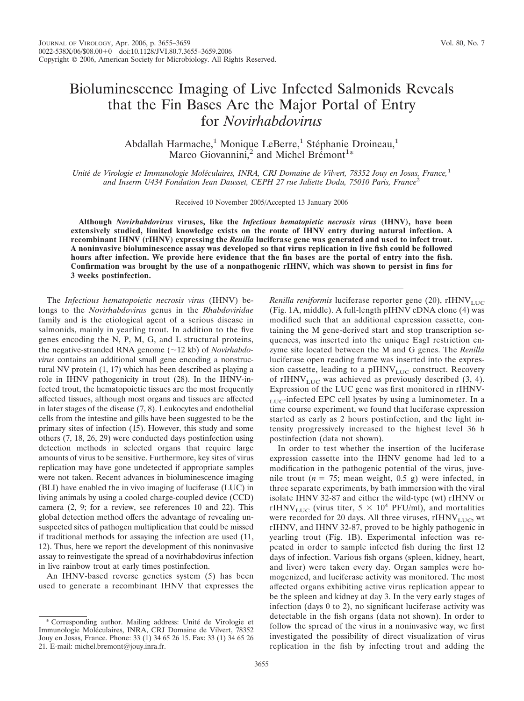Abdallah Harmache,<sup>1</sup> Monique LeBerre,<sup>1</sup> Stéphanie Droineau,<sup>1</sup> Marco Giovannini,<sup>2</sup> and Michel Bremont<sup>1</sup>\*

*Unite´ de Virologie et Immunologie Mole´culaires, INRA, CRJ Domaine de Vilvert, 78352 Jouy en Josas, France,*<sup>1</sup> *and Inserm U434 Fondation Jean Dausset, CEPH 27 rue Juliette Dodu, 75010 Paris, France*<sup>2</sup>

Received 10 November 2005/Accepted 13 January 2006

**Although** *Novirhabdovirus* **viruses, like the** *Infectious hematopietic necrosis virus* **(IHNV), have been extensively studied, limited knowledge exists on the route of IHNV entry during natural infection. A recombinant IHNV (rIHNV) expressing the** *Renilla* **luciferase gene was generated and used to infect trout. A noninvasive bioluminescence assay was developed so that virus replication in live fish could be followed hours after infection. We provide here evidence that the fin bases are the portal of entry into the fish. Confirmation was brought by the use of a nonpathogenic rIHNV, which was shown to persist in fins for 3 weeks postinfection.**

The *Infectious hematopoietic necrosis virus* (IHNV) belongs to the *Novirhabdovirus* genus in the *Rhabdoviridae* family and is the etiological agent of a serious disease in salmonids, mainly in yearling trout. In addition to the five genes encoding the N, P, M, G, and L structural proteins, the negative-stranded RNA genome (~12 kb) of *Novirhabdovirus* contains an additional small gene encoding a nonstructural NV protein (1, 17) which has been described as playing a role in IHNV pathogenicity in trout (28). In the IHNV-infected trout, the hematopoietic tissues are the most frequently affected tissues, although most organs and tissues are affected in later stages of the disease (7, 8). Leukocytes and endothelial cells from the intestine and gills have been suggested to be the primary sites of infection (15). However, this study and some others (7, 18, 26, 29) were conducted days postinfection using detection methods in selected organs that require large amounts of virus to be sensitive. Furthermore, key sites of virus replication may have gone undetected if appropriate samples were not taken. Recent advances in bioluminescence imaging (BLI) have enabled the in vivo imaging of luciferase (LUC) in living animals by using a cooled charge-coupled device (CCD) camera (2, 9; for a review, see references 10 and 22). This global detection method offers the advantage of revealing unsuspected sites of pathogen multiplication that could be missed if traditional methods for assaying the infection are used (11, 12). Thus, here we report the development of this noninvasive assay to reinvestigate the spread of a novirhabdovirus infection in live rainbow trout at early times postinfection.

An IHNV-based reverse genetics system (5) has been used to generate a recombinant IHNV that expresses the

*Renilla reniformis* luciferase reporter gene (20), rIHNV<sub>LUC</sub> (Fig. 1A, middle). A full-length pIHNV cDNA clone (4) was modified such that an additional expression cassette, containing the M gene-derived start and stop transcription sequences, was inserted into the unique EagI restriction enzyme site located between the M and G genes. The *Renilla* luciferase open reading frame was inserted into the expression cassette, leading to a pIHNV<sub>LUC</sub> construct. Recovery of rIHNV<sub>LUC</sub> was achieved as previously described  $(3, 4)$ . Expression of the LUC gene was first monitored in rIHNV-LUC-infected EPC cell lysates by using a luminometer. In a time course experiment, we found that luciferase expression started as early as 2 hours postinfection, and the light intensity progressively increased to the highest level 36 h postinfection (data not shown).

In order to test whether the insertion of the luciferase expression cassette into the IHNV genome had led to a modification in the pathogenic potential of the virus, juvenile trout  $(n = 75; \text{ mean weight}, 0.5 \text{ g})$  were infected, in three separate experiments, by bath immersion with the viral isolate IHNV 32-87 and either the wild-type (wt) rIHNV or rIHNV<sub>LUC</sub> (virus titer,  $5 \times 10^4$  PFU/ml), and mortalities were recorded for 20 days. All three viruses,  $rIHNV$ <sub>LUC</sub>, wt rIHNV, and IHNV 32-87, proved to be highly pathogenic in yearling trout (Fig. 1B). Experimental infection was repeated in order to sample infected fish during the first 12 days of infection. Various fish organs (spleen, kidney, heart, and liver) were taken every day. Organ samples were homogenized, and luciferase activity was monitored. The most affected organs exhibiting active virus replication appear to be the spleen and kidney at day 3. In the very early stages of infection (days 0 to 2), no significant luciferase activity was detectable in the fish organs (data not shown). In order to follow the spread of the virus in a noninvasive way, we first investigated the possibility of direct visualization of virus replication in the fish by infecting trout and adding the

<sup>\*</sup> Corresponding author. Mailing address: Unite´ de Virologie et Immunologie Moléculaires, INRA, CRJ Domaine de Vilvert, 78352 Jouy en Josas, France. Phone: 33 (1) 34 65 26 15. Fax: 33 (1) 34 65 26 21. E-mail: michel.bremont@jouy.inra.fr.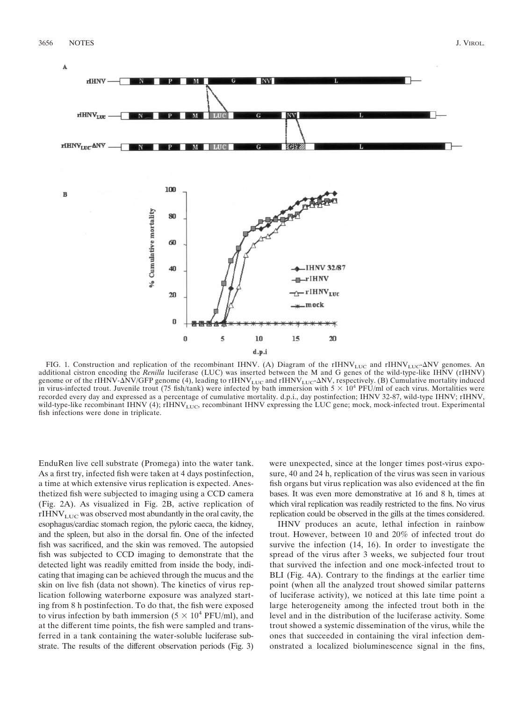

FIG. 1. Construction and replication of the recombinant IHNV. (A) Diagram of the rIHNV<sub>LUC</sub> and rIHNV<sub>LUC</sub>-ANV genomes. An additional cistron encoding the *Renilla* luciferase (LUC) was inserted between the M and G genes of the wild-type-like IHNV (rIHNV) genome or of the rIHNV- $\Delta$ NV/GFP genome (4), leading to rIHNV<sub>LUC</sub> and rIHNV<sub>LUC</sub>- $\Delta$ NV, respectively. (B) Cumulative mortality induced in virus-infected trout. Juvenile trout (75 fish/tank) were infected by bath immersion with  $5 \times 10^4$  PFU/ml of each virus. Mortalities were recorded every day and expressed as a percentage of cumulative mortality. d.p.i., day postinfection; IHNV 32-87, wild-type IHNV; rIHNV, wild-type-like recombinant IHNV (4); rIHNV<sub>LUC</sub>, recombinant IHNV expressing the LUC gene; mock, mock-infected trout. Experimental fish infections were done in triplicate.

EnduRen live cell substrate (Promega) into the water tank. As a first try, infected fish were taken at 4 days postinfection, a time at which extensive virus replication is expected. Anesthetized fish were subjected to imaging using a CCD camera (Fig. 2A). As visualized in Fig. 2B, active replication of  $rIHNV<sub>LUC</sub>$  was observed most abundantly in the oral cavity, the esophagus/cardiac stomach region, the pyloric caeca, the kidney, and the spleen, but also in the dorsal fin. One of the infected fish was sacrificed, and the skin was removed. The autopsied fish was subjected to CCD imaging to demonstrate that the detected light was readily emitted from inside the body, indicating that imaging can be achieved through the mucus and the skin on live fish (data not shown). The kinetics of virus replication following waterborne exposure was analyzed starting from 8 h postinfection. To do that, the fish were exposed to virus infection by bath immersion  $(5 \times 10^4 \text{ PFU/ml})$ , and at the different time points, the fish were sampled and transferred in a tank containing the water-soluble luciferase substrate. The results of the different observation periods (Fig. 3)

were unexpected, since at the longer times post-virus exposure, 40 and 24 h, replication of the virus was seen in various fish organs but virus replication was also evidenced at the fin bases. It was even more demonstrative at 16 and 8 h, times at which viral replication was readily restricted to the fins. No virus replication could be observed in the gills at the times considered.

IHNV produces an acute, lethal infection in rainbow trout. However, between 10 and 20% of infected trout do survive the infection (14, 16). In order to investigate the spread of the virus after 3 weeks, we subjected four trout that survived the infection and one mock-infected trout to BLI (Fig. 4A). Contrary to the findings at the earlier time point (when all the analyzed trout showed similar patterns of luciferase activity), we noticed at this late time point a large heterogeneity among the infected trout both in the level and in the distribution of the luciferase activity. Some trout showed a systemic dissemination of the virus, while the ones that succeeded in containing the viral infection demonstrated a localized bioluminescence signal in the fins,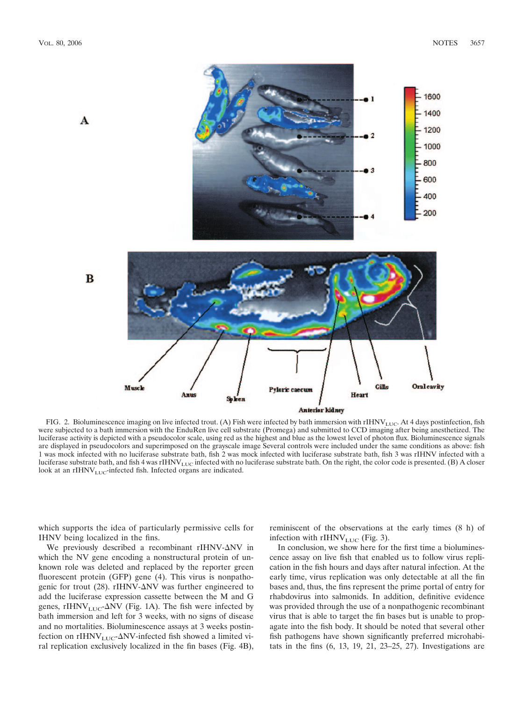

FIG. 2. Bioluminescence imaging on live infected trout. (A) Fish were infected by bath immersion with rIHNV<sub>LUC</sub>. At 4 days postinfection, fish were subjected to a bath immersion with the EnduRen live cell substrate (Promega) and submitted to CCD imaging after being anesthetized. The luciferase activity is depicted with a pseudocolor scale, using red as the highest and blue as the lowest level of photon flux. Bioluminescence signals are displayed in pseudocolors and superimposed on the grayscale image Several controls were included under the same conditions as above: fish 1 was mock infected with no luciferase substrate bath, fish 2 was mock infected with luciferase substrate bath, fish 3 was rIHNV infected with a luciferase substrate bath, and fish 4 was rIHNV<sub>LUC</sub> infected with no luciferase substrate bath. On the right, the color code is presented. (B) A closer look at an rIHNV $_{\rm LUC}$ -infected fish. Infected organs are indicated.

which supports the idea of particularly permissive cells for IHNV being localized in the fins.

We previously described a recombinant rIHNV- $\Delta$ NV in which the NV gene encoding a nonstructural protein of unknown role was deleted and replaced by the reporter green fluorescent protein (GFP) gene (4). This virus is nonpathogenic for trout (28). rIHNV- $\Delta$ NV was further engineered to add the luciferase expression cassette between the M and G genes, rIHNV<sub>LUC</sub>- $\Delta$ NV (Fig. 1A). The fish were infected by bath immersion and left for 3 weeks, with no signs of disease and no mortalities. Bioluminescence assays at 3 weeks postinfection on rIHNV<sub>LUC</sub>- $\Delta$ NV-infected fish showed a limited viral replication exclusively localized in the fin bases (Fig. 4B),

reminiscent of the observations at the early times (8 h) of infection with  $rIHNV_{\text{LUC}}$  (Fig. 3).

In conclusion, we show here for the first time a bioluminescence assay on live fish that enabled us to follow virus replication in the fish hours and days after natural infection. At the early time, virus replication was only detectable at all the fin bases and, thus, the fins represent the prime portal of entry for rhabdovirus into salmonids. In addition, definitive evidence was provided through the use of a nonpathogenic recombinant virus that is able to target the fin bases but is unable to propagate into the fish body. It should be noted that several other fish pathogens have shown significantly preferred microhabitats in the fins (6, 13, 19, 21, 23–25, 27). Investigations are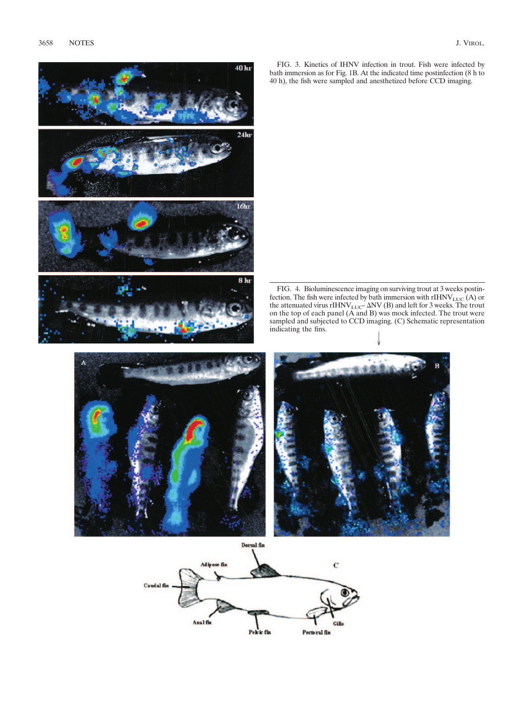

FIG. 4. Bioluminescence imaging on surviving trout at 3 weeks postinfection. The fish were infected by bath immersion with  $\mathrm{rIHNV}_{\mathrm{LUC}}\left(\mathrm{A}\right)$  or the attenuated virus rIHNV<sub>LUC</sub>-  $\Delta$ NV (B) and left for 3 weeks. The trout on the top of each panel (A and B) was mock infected. The trout were sampled and subjected to CCD imaging. (C) Schematic representation indicating the fins.

 $\vee$ 







40 kr

 $24hr$ 

 $16<sub>hr</sub>$ 

hr